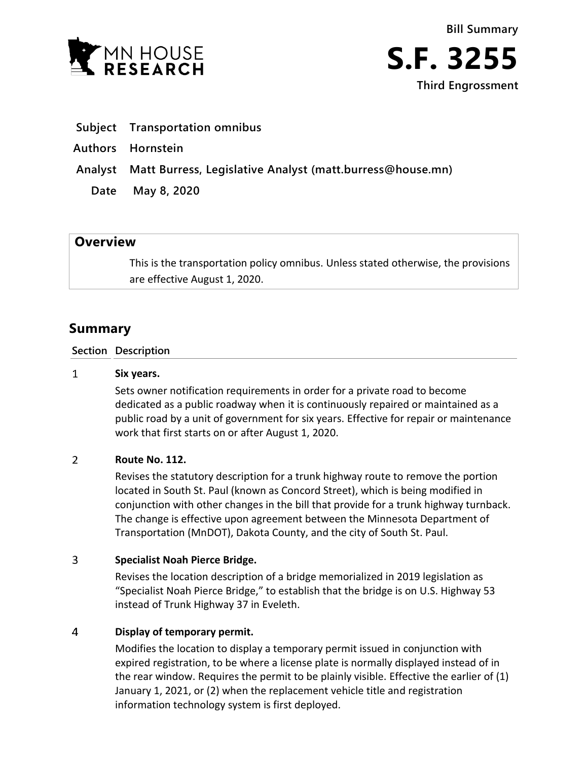

- **Subject Transportation omnibus**
- **Authors Hornstein**
- **Analyst Matt Burress, Legislative Analyst (matt.burress@house.mn)**
	- **Date May 8, 2020**

# **Overview**

This is the transportation policy omnibus. Unless stated otherwise, the provisions are effective August 1, 2020.

# **Summary**

### **Section Description**

#### $\mathbf{1}$ **Six years.**

Sets owner notification requirements in order for a private road to become dedicated as a public roadway when it is continuously repaired or maintained as a public road by a unit of government for six years. Effective for repair or maintenance work that first starts on or after August 1, 2020.

#### $\overline{2}$ **Route No. 112.**

Revises the statutory description for a trunk highway route to remove the portion located in South St. Paul (known as Concord Street), which is being modified in conjunction with other changes in the bill that provide for a trunk highway turnback. The change is effective upon agreement between the Minnesota Department of Transportation (MnDOT), Dakota County, and the city of South St. Paul.

#### 3 **Specialist Noah Pierce Bridge.**

Revises the location description of a bridge memorialized in 2019 legislation as "Specialist Noah Pierce Bridge," to establish that the bridge is on U.S. Highway 53 instead of Trunk Highway 37 in Eveleth.

#### $\overline{4}$ **Display of temporary permit.**

Modifies the location to display a temporary permit issued in conjunction with expired registration, to be where a license plate is normally displayed instead of in the rear window. Requires the permit to be plainly visible. Effective the earlier of (1) January 1, 2021, or (2) when the replacement vehicle title and registration information technology system is first deployed.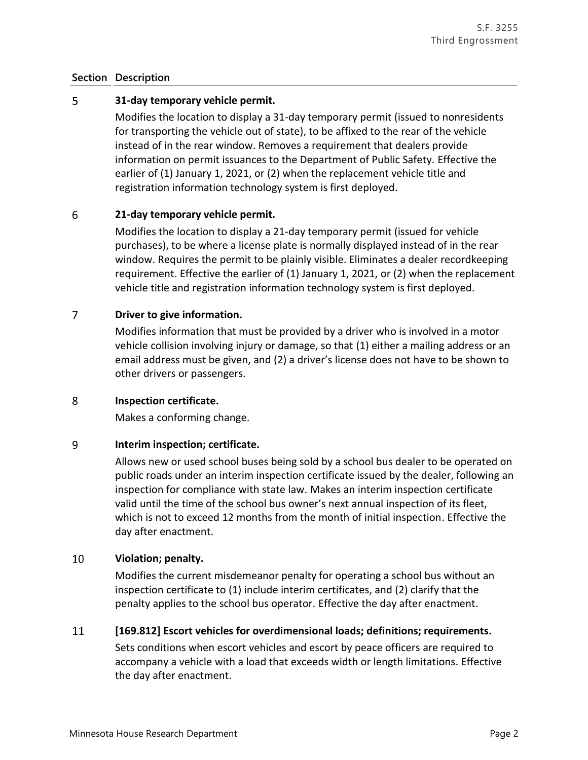#### 5 **31-day temporary vehicle permit.**

Modifies the location to display a 31-day temporary permit (issued to nonresidents for transporting the vehicle out of state), to be affixed to the rear of the vehicle instead of in the rear window. Removes a requirement that dealers provide information on permit issuances to the Department of Public Safety. Effective the earlier of (1) January 1, 2021, or (2) when the replacement vehicle title and registration information technology system is first deployed.

#### 6 **21-day temporary vehicle permit.**

Modifies the location to display a 21-day temporary permit (issued for vehicle purchases), to be where a license plate is normally displayed instead of in the rear window. Requires the permit to be plainly visible. Eliminates a dealer recordkeeping requirement. Effective the earlier of (1) January 1, 2021, or (2) when the replacement vehicle title and registration information technology system is first deployed.

#### $\overline{7}$ **Driver to give information.**

Modifies information that must be provided by a driver who is involved in a motor vehicle collision involving injury or damage, so that (1) either a mailing address or an email address must be given, and (2) a driver's license does not have to be shown to other drivers or passengers.

#### 8 **Inspection certificate.**

Makes a conforming change.

#### 9 **Interim inspection; certificate.**

Allows new or used school buses being sold by a school bus dealer to be operated on public roads under an interim inspection certificate issued by the dealer, following an inspection for compliance with state law. Makes an interim inspection certificate valid until the time of the school bus owner's next annual inspection of its fleet, which is not to exceed 12 months from the month of initial inspection. Effective the day after enactment.

#### 10 **Violation; penalty.**

Modifies the current misdemeanor penalty for operating a school bus without an inspection certificate to (1) include interim certificates, and (2) clarify that the penalty applies to the school bus operator. Effective the day after enactment.

#### 11 **[169.812] Escort vehicles for overdimensional loads; definitions; requirements.**

Sets conditions when escort vehicles and escort by peace officers are required to accompany a vehicle with a load that exceeds width or length limitations. Effective the day after enactment.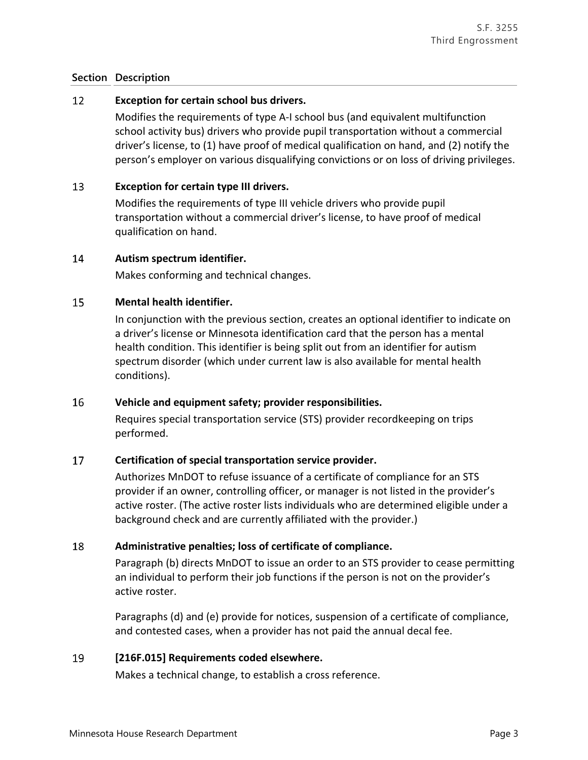#### 12 **Exception for certain school bus drivers.**

Modifies the requirements of type A-I school bus (and equivalent multifunction school activity bus) drivers who provide pupil transportation without a commercial driver's license, to (1) have proof of medical qualification on hand, and (2) notify the person's employer on various disqualifying convictions or on loss of driving privileges.

#### 13 **Exception for certain type III drivers.**

Modifies the requirements of type III vehicle drivers who provide pupil transportation without a commercial driver's license, to have proof of medical qualification on hand.

#### 14 **Autism spectrum identifier.**

Makes conforming and technical changes.

#### 15 **Mental health identifier.**

In conjunction with the previous section, creates an optional identifier to indicate on a driver's license or Minnesota identification card that the person has a mental health condition. This identifier is being split out from an identifier for autism spectrum disorder (which under current law is also available for mental health conditions).

#### 16 **Vehicle and equipment safety; provider responsibilities.**

Requires special transportation service (STS) provider recordkeeping on trips performed.

#### 17 **Certification of special transportation service provider.**

Authorizes MnDOT to refuse issuance of a certificate of compliance for an STS provider if an owner, controlling officer, or manager is not listed in the provider's active roster. (The active roster lists individuals who are determined eligible under a background check and are currently affiliated with the provider.)

#### 18 **Administrative penalties; loss of certificate of compliance.**

Paragraph (b) directs MnDOT to issue an order to an STS provider to cease permitting an individual to perform their job functions if the person is not on the provider's active roster.

Paragraphs (d) and (e) provide for notices, suspension of a certificate of compliance, and contested cases, when a provider has not paid the annual decal fee.

#### 19 **[216F.015] Requirements coded elsewhere.**

Makes a technical change, to establish a cross reference.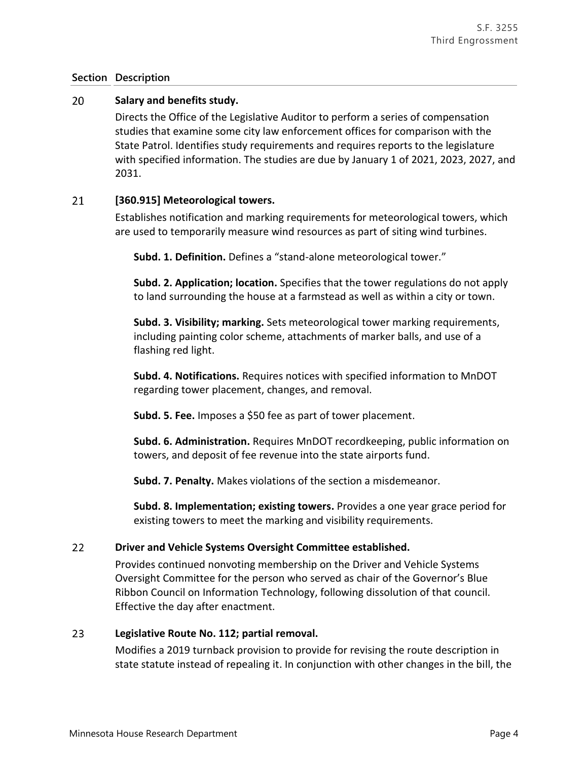#### 20 **Salary and benefits study.**

Directs the Office of the Legislative Auditor to perform a series of compensation studies that examine some city law enforcement offices for comparison with the State Patrol. Identifies study requirements and requires reports to the legislature with specified information. The studies are due by January 1 of 2021, 2023, 2027, and 2031.

#### 21 **[360.915] Meteorological towers.**

Establishes notification and marking requirements for meteorological towers, which are used to temporarily measure wind resources as part of siting wind turbines.

**Subd. 1. Definition.** Defines a "stand-alone meteorological tower."

**Subd. 2. Application; location.** Specifies that the tower regulations do not apply to land surrounding the house at a farmstead as well as within a city or town.

**Subd. 3. Visibility; marking.** Sets meteorological tower marking requirements, including painting color scheme, attachments of marker balls, and use of a flashing red light.

**Subd. 4. Notifications.** Requires notices with specified information to MnDOT regarding tower placement, changes, and removal.

**Subd. 5. Fee.** Imposes a \$50 fee as part of tower placement.

**Subd. 6. Administration.** Requires MnDOT recordkeeping, public information on towers, and deposit of fee revenue into the state airports fund.

**Subd. 7. Penalty.** Makes violations of the section a misdemeanor.

**Subd. 8. Implementation; existing towers.** Provides a one year grace period for existing towers to meet the marking and visibility requirements.

#### $22$ **Driver and Vehicle Systems Oversight Committee established.**

Provides continued nonvoting membership on the Driver and Vehicle Systems Oversight Committee for the person who served as chair of the Governor's Blue Ribbon Council on Information Technology, following dissolution of that council. Effective the day after enactment.

#### 23 **Legislative Route No. 112; partial removal.**

Modifies a 2019 turnback provision to provide for revising the route description in state statute instead of repealing it. In conjunction with other changes in the bill, the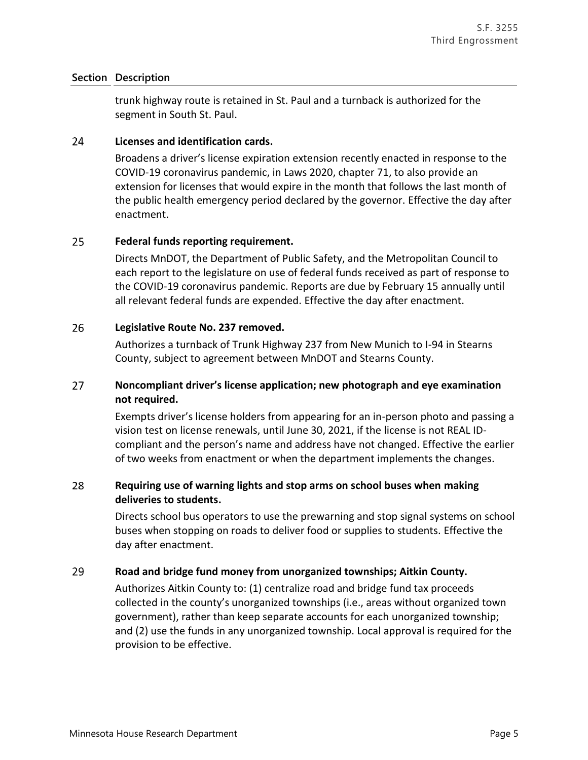trunk highway route is retained in St. Paul and a turnback is authorized for the segment in South St. Paul.

#### 24 **Licenses and identification cards.**

Broadens a driver's license expiration extension recently enacted in response to the COVID-19 coronavirus pandemic, in Laws 2020, chapter 71, to also provide an extension for licenses that would expire in the month that follows the last month of the public health emergency period declared by the governor. Effective the day after enactment.

#### 25 **Federal funds reporting requirement.**

Directs MnDOT, the Department of Public Safety, and the Metropolitan Council to each report to the legislature on use of federal funds received as part of response to the COVID-19 coronavirus pandemic. Reports are due by February 15 annually until all relevant federal funds are expended. Effective the day after enactment.

#### 26 **Legislative Route No. 237 removed.**

Authorizes a turnback of Trunk Highway 237 from New Munich to I-94 in Stearns County, subject to agreement between MnDOT and Stearns County.

### 27 **Noncompliant driver's license application; new photograph and eye examination not required.**

Exempts driver's license holders from appearing for an in-person photo and passing a vision test on license renewals, until June 30, 2021, if the license is not REAL IDcompliant and the person's name and address have not changed. Effective the earlier of two weeks from enactment or when the department implements the changes.

### 28 **Requiring use of warning lights and stop arms on school buses when making deliveries to students.**

Directs school bus operators to use the prewarning and stop signal systems on school buses when stopping on roads to deliver food or supplies to students. Effective the day after enactment.

#### 29 **Road and bridge fund money from unorganized townships; Aitkin County.**

Authorizes Aitkin County to: (1) centralize road and bridge fund tax proceeds collected in the county's unorganized townships (i.e., areas without organized town government), rather than keep separate accounts for each unorganized township; and (2) use the funds in any unorganized township. Local approval is required for the provision to be effective.